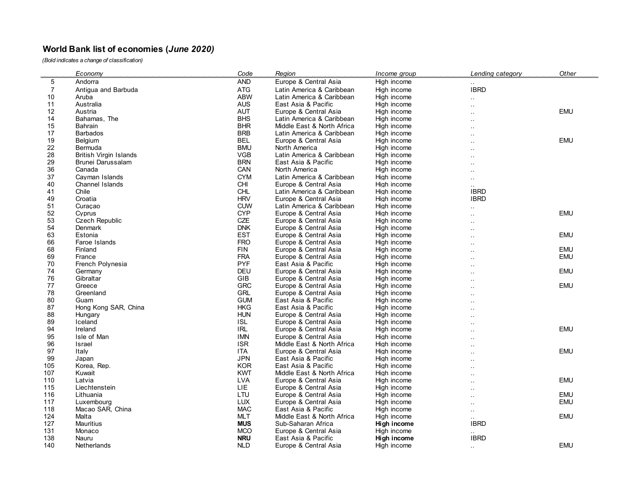## **World Bank list of economies (***June 2020)*

*(Bold indicates a change of classification)*

|                | Economy                       | Code       | Region                     | Income group | Lending category     | <b>Other</b> |
|----------------|-------------------------------|------------|----------------------------|--------------|----------------------|--------------|
| 5              | Andorra                       | <b>AND</b> | Europe & Central Asia      | High income  |                      |              |
| $\overline{7}$ | Antigua and Barbuda           | ATG        | Latin America & Caribbean  | High income  | <b>IBRD</b>          |              |
| 10             | Aruba                         | ABW        | Latin America & Caribbean  | High income  |                      |              |
| 11             | Australia                     | <b>AUS</b> | East Asia & Pacific        | High income  |                      |              |
| 12             | Austria                       | <b>AUT</b> | Europe & Central Asia      | High income  |                      | <b>EMU</b>   |
| 14             | Bahamas, The                  | <b>BHS</b> | Latin America & Caribbean  | High income  |                      |              |
| 15             | <b>Bahrain</b>                | <b>BHR</b> | Middle East & North Africa | High income  |                      |              |
| 17             | <b>Barbados</b>               | <b>BRB</b> | Latin America & Caribbean  | High income  |                      |              |
| 19             | <b>Belgium</b>                | <b>BEL</b> | Europe & Central Asia      | High income  | $\ddot{\phantom{a}}$ | <b>EMU</b>   |
| 22             | Bermuda                       | <b>BMU</b> | North America              | High income  |                      |              |
| 28             | <b>British Virgin Islands</b> | <b>VGB</b> | Latin America & Caribbean  | High income  |                      |              |
| 29             | Brunei Darussalam             | <b>BRN</b> | East Asia & Pacific        | High income  |                      |              |
| 36             | Canada                        | CAN        | North America              | High income  |                      |              |
| 37             | Cayman Islands                | <b>CYM</b> | Latin America & Caribbean  | High income  | $\ddot{\phantom{a}}$ |              |
| 40             | <b>Channel Islands</b>        | CHI        | Europe & Central Asia      | High income  |                      |              |
| 41             | Chile                         | <b>CHL</b> | Latin America & Caribbean  | High income  | <b>IBRD</b>          |              |
| 49             | Croatia                       | <b>HRV</b> | Europe & Central Asia      | High income  | <b>IBRD</b>          |              |
| 51             | Curacao                       | <b>CUW</b> | Latin America & Caribbean  | High income  |                      |              |
| 52             | Cyprus                        | <b>CYP</b> | Europe & Central Asia      | High income  |                      | <b>EMU</b>   |
| 53             | <b>Czech Republic</b>         | CZE        | Europe & Central Asia      | High income  |                      |              |
| 54             | Denmark                       | <b>DNK</b> | Europe & Central Asia      | High income  | $\ddot{\phantom{a}}$ |              |
| 63             | Estonia                       | <b>EST</b> | Europe & Central Asia      | High income  |                      | <b>EMU</b>   |
| 66             | Faroe Islands                 | <b>FRO</b> | Europe & Central Asia      | High income  |                      |              |
| 68             | Finland                       | <b>FIN</b> | Europe & Central Asia      | High income  | $\ddot{\phantom{a}}$ | EMU          |
| 69             | France                        | <b>FRA</b> | Europe & Central Asia      | High income  |                      | <b>EMU</b>   |
| 70             | French Polynesia              | <b>PYF</b> | East Asia & Pacific        | High income  |                      |              |
| 74             | Germany                       | DEU        | Europe & Central Asia      | High income  |                      | <b>EMU</b>   |
| 76             | Gibraltar                     | GIB        | Europe & Central Asia      | High income  |                      |              |
| 77             | Greece                        | <b>GRC</b> | Europe & Central Asia      | High income  |                      | <b>EMU</b>   |
| 78             | Greenland                     | GRL        | Europe & Central Asia      | High income  |                      |              |
| 80             | Guam                          | <b>GUM</b> | East Asia & Pacific        | High income  |                      |              |
| 87             | Hong Kong SAR, China          | <b>HKG</b> | East Asia & Pacific        | High income  |                      |              |
| 88             | Hungary                       | <b>HUN</b> | Europe & Central Asia      | High income  |                      |              |
| 89             | Iceland                       | <b>ISL</b> | Europe & Central Asia      | High income  |                      |              |
| 94             | Ireland                       | <b>IRL</b> | Europe & Central Asia      | High income  |                      | <b>EMU</b>   |
| 95             | Isle of Man                   | <b>IMN</b> | Europe & Central Asia      | High income  |                      |              |
| 96             | Israel                        | <b>ISR</b> | Middle East & North Africa | High income  |                      |              |
| 97             | Italy                         | <b>ITA</b> | Europe & Central Asia      | High income  |                      | <b>EMU</b>   |
| 99             | Japan                         | <b>JPN</b> | East Asia & Pacific        | High income  | $\ddot{\phantom{a}}$ |              |
| 105            | Korea, Rep.                   | <b>KOR</b> | East Asia & Pacific        | High income  |                      |              |
| 107            | Kuwait                        | <b>KWT</b> | Middle East & North Africa | High income  |                      |              |
| 110            | Latvia                        | <b>LVA</b> | Europe & Central Asia      | High income  |                      | <b>EMU</b>   |
| 115            | Liechtenstein                 | LIE        | Europe & Central Asia      | High income  |                      |              |
| 116            | Lithuania                     | LTU        | Europe & Central Asia      | High income  | $\ddot{\phantom{a}}$ | <b>EMU</b>   |
| 117            | Luxembourg                    | <b>LUX</b> | Europe & Central Asia      | High income  |                      | <b>EMU</b>   |
| 118            | Macao SAR, China              | <b>MAC</b> | East Asia & Pacific        | High income  | $\ddot{\phantom{0}}$ |              |
| 124            | Malta                         | <b>MLT</b> | Middle East & North Africa | High income  | $\cdot$ .            | EMU          |
| 127            | <b>Mauritius</b>              | <b>MUS</b> | Sub-Saharan Africa         | High income  | <b>IBRD</b>          |              |
| 131            | Monaco                        | <b>MCO</b> | Europe & Central Asia      | High income  |                      |              |
| 138            | Nauru                         | <b>NRU</b> | East Asia & Pacific        | High income  | <b>IBRD</b>          |              |
| 140            | Netherlands                   | <b>NLD</b> | Europe & Central Asia      | High income  |                      | <b>EMU</b>   |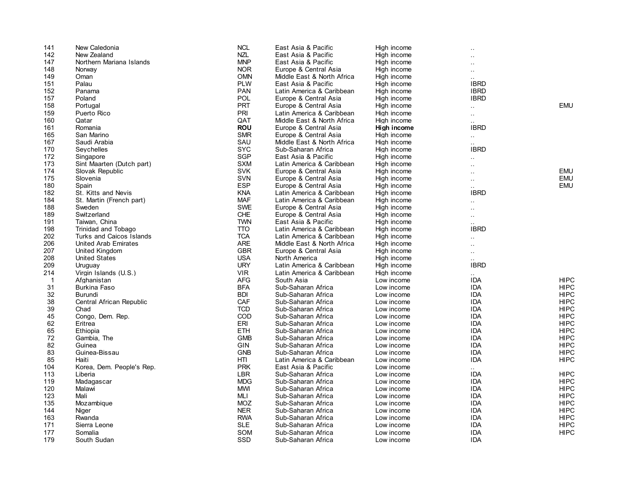| 141 | New Caledonia             | <b>NCL</b> | East Asia & Pacific        | High income |                      |             |
|-----|---------------------------|------------|----------------------------|-------------|----------------------|-------------|
| 142 | New Zealand               | <b>NZL</b> | East Asia & Pacific        | High income |                      |             |
| 147 | Northern Mariana Islands  | <b>MNP</b> | East Asia & Pacific        | High income |                      |             |
| 148 | Norway                    | <b>NOR</b> | Europe & Central Asia      | High income | $\ddot{\phantom{0}}$ |             |
| 149 | Oman                      | <b>OMN</b> | Middle East & North Africa | High income | $\ddotsc$            |             |
| 151 | Palau                     | <b>PLW</b> | East Asia & Pacific        | High income | <b>IBRD</b>          |             |
| 152 | Panama                    | <b>PAN</b> | Latin America & Caribbean  | High income | <b>IBRD</b>          |             |
| 157 | Poland                    | POL        | Europe & Central Asia      | High income | <b>IBRD</b>          |             |
| 158 | Portugal                  | <b>PRT</b> | Europe & Central Asia      | High income | $\ddot{\phantom{a}}$ | <b>EMU</b>  |
| 159 | Puerto Rico               | PRI        | Latin America & Caribbean  | High income | $\ddotsc$            |             |
| 160 | Qatar                     | QAT        | Middle East & North Africa | High income | $\cdot$ .            |             |
| 161 | Romania                   | <b>ROU</b> | Europe & Central Asia      | High income | <b>IBRD</b>          |             |
| 165 | San Marino                | <b>SMR</b> | Europe & Central Asia      | High income |                      |             |
| 167 | Saudi Arabia              | SAU        | Middle East & North Africa | High income | $\sim$<br>$\ddotsc$  |             |
| 170 | Seychelles                | <b>SYC</b> | Sub-Saharan Africa         | High income | <b>IBRD</b>          |             |
| 172 | Singapore                 | <b>SGP</b> | East Asia & Pacific        | High income |                      |             |
| 173 | Sint Maarten (Dutch part) | <b>SXM</b> | Latin America & Caribbean  | High income | $\ddot{\phantom{a}}$ |             |
| 174 | Slovak Republic           | <b>SVK</b> | Europe & Central Asia      | High income |                      | EMU         |
| 175 | Slovenia                  | <b>SVN</b> | Europe & Central Asia      |             |                      | <b>EMU</b>  |
|     |                           | <b>ESP</b> |                            | High income | $\ddot{\phantom{a}}$ |             |
| 180 | Spain                     |            | Europe & Central Asia      | High income | $\ddot{\phantom{a}}$ | <b>EMU</b>  |
| 182 | St. Kitts and Nevis       | <b>KNA</b> | Latin America & Caribbean  | High income | <b>IBRD</b>          |             |
| 184 | St. Martin (French part)  | <b>MAF</b> | Latin America & Caribbean  | High income | $\ddot{\phantom{a}}$ |             |
| 188 | Sweden                    | <b>SWE</b> | Europe & Central Asia      | High income | $\ddot{\phantom{0}}$ |             |
| 189 | Switzerland               | <b>CHE</b> | Europe & Central Asia      | High income | $\ddotsc$            |             |
| 191 | Taiwan, China             | <b>TWN</b> | East Asia & Pacific        | High income | $\ddotsc$            |             |
| 198 | Trinidad and Tobago       | <b>TTO</b> | Latin America & Caribbean  | High income | <b>IBRD</b>          |             |
| 202 | Turks and Caicos Islands  | <b>TCA</b> | Latin America & Caribbean  | High income | $\sim$               |             |
| 206 | United Arab Emirates      | <b>ARE</b> | Middle East & North Africa | High income | $\ddot{\phantom{a}}$ |             |
| 207 | United Kingdom            | <b>GBR</b> | Europe & Central Asia      | High income | $\ddotsc$            |             |
| 208 | <b>United States</b>      | <b>USA</b> | North America              | High income | $\ddotsc$            |             |
| 209 | Uruguay                   | <b>URY</b> | Latin America & Caribbean  | High income | <b>IBRD</b>          |             |
| 214 | Virgin Islands (U.S.)     | <b>VIR</b> | Latin America & Caribbean  | High income |                      |             |
| -1  | Afahanistan               | AFG        | South Asia                 | Low income  | <b>IDA</b>           | <b>HIPC</b> |
| 31  | <b>Burkina Faso</b>       | <b>BFA</b> | Sub-Saharan Africa         | Low income  | IDA                  | <b>HIPC</b> |
| 32  | Burundi                   | <b>BDI</b> | Sub-Saharan Africa         | Low income  | <b>IDA</b>           | <b>HIPC</b> |
| 38  | Central African Republic  | CAF        | Sub-Saharan Africa         | Low income  | <b>IDA</b>           | <b>HIPC</b> |
| 39  | Chad                      | <b>TCD</b> | Sub-Saharan Africa         | Low income  | IDA                  | HIPC        |
| 45  | Congo, Dem. Rep.          | COD        | Sub-Saharan Africa         | Low income  | <b>IDA</b>           | <b>HIPC</b> |
| 62  | Eritrea                   | ERI        | Sub-Saharan Africa         | Low income  | IDA                  | <b>HIPC</b> |
| 65  | Ethiopia                  | <b>ETH</b> | Sub-Saharan Africa         | Low income  | <b>IDA</b>           | <b>HIPC</b> |
| 72  | Gambia, The               | <b>GMB</b> | Sub-Saharan Africa         | Low income  | <b>IDA</b>           | <b>HIPC</b> |
| 82  | Guinea                    | <b>GIN</b> | Sub-Saharan Africa         | Low income  | <b>IDA</b>           | <b>HIPC</b> |
| 83  | Guinea-Bissau             | <b>GNB</b> | Sub-Saharan Africa         | Low income  | IDA                  | <b>HIPC</b> |
| 85  | Haiti                     | HTI        | Latin America & Caribbean  | Low income  | <b>IDA</b>           | <b>HIPC</b> |
| 104 | Korea, Dem. People's Rep. | <b>PRK</b> | East Asia & Pacific        | Low income  |                      |             |
| 113 | Liberia                   | LBR        | Sub-Saharan Africa         | Low income  | <b>IDA</b>           | <b>HIPC</b> |
| 119 | Madagascar                | <b>MDG</b> | Sub-Saharan Africa         | Low income  | <b>IDA</b>           | <b>HIPC</b> |
| 120 | Malawi                    | <b>MWI</b> | Sub-Saharan Africa         | Low income  | IDA                  | HIPC        |
| 123 | Mali                      | MLI        | Sub-Saharan Africa         | Low income  | <b>IDA</b>           | <b>HIPC</b> |
| 135 | Mozambique                | <b>MOZ</b> | Sub-Saharan Africa         | Low income  | IDA                  | <b>HIPC</b> |
| 144 | Niger                     | <b>NER</b> | Sub-Saharan Africa         | Low income  | <b>IDA</b>           | <b>HIPC</b> |
| 163 | Rwanda                    | <b>RWA</b> | Sub-Saharan Africa         | Low income  | <b>IDA</b>           | <b>HIPC</b> |
| 171 | Sierra Leone              | <b>SLE</b> | Sub-Saharan Africa         | Low income  | <b>IDA</b>           | <b>HIPC</b> |
| 177 | Somalia                   | SOM        | Sub-Saharan Africa         | Low income  | IDA                  | <b>HIPC</b> |
| 179 | South Sudan               | SSD        | Sub-Saharan Africa         | Low income  | <b>IDA</b>           |             |
|     |                           |            |                            |             |                      |             |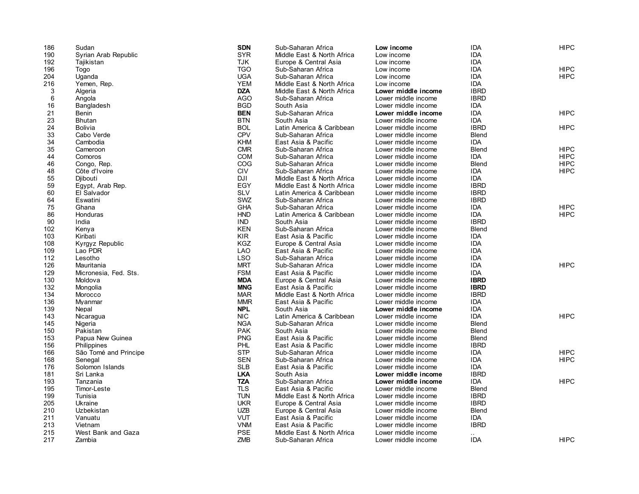| 186 | Sudan                 | <b>SDN</b> | Sub-Saharan Africa         | Low income          | <b>IDA</b>   | <b>HIPC</b> |
|-----|-----------------------|------------|----------------------------|---------------------|--------------|-------------|
| 190 | Syrian Arab Republic  | <b>SYR</b> | Middle East & North Africa | Low income          | <b>IDA</b>   |             |
| 192 | Tajikistan            | <b>TJK</b> | Europe & Central Asia      | Low income          | <b>IDA</b>   |             |
| 196 | Togo                  | <b>TGO</b> | Sub-Saharan Africa         | Low income          | <b>IDA</b>   | <b>HIPC</b> |
| 204 | Uganda                | <b>UGA</b> | Sub-Saharan Africa         | Low income          | <b>IDA</b>   | <b>HIPC</b> |
| 216 | Yemen, Rep.           | <b>YEM</b> | Middle East & North Africa | Low income          | <b>IDA</b>   |             |
| 3   | Algeria               | <b>DZA</b> | Middle East & North Africa | Lower middle income | <b>IBRD</b>  |             |
| 6   | Angola                | <b>AGO</b> | Sub-Saharan Africa         | Lower middle income | <b>IBRD</b>  |             |
| 16  | Bangladesh            | <b>BGD</b> | South Asia                 | Lower middle income | <b>IDA</b>   |             |
| 21  | Benin                 | <b>BEN</b> | Sub-Saharan Africa         | Lower middle income | <b>IDA</b>   | <b>HIPC</b> |
| 23  | <b>Bhutan</b>         | <b>BTN</b> | South Asia                 | Lower middle income | <b>IDA</b>   |             |
| 24  | <b>Bolivia</b>        | <b>BOL</b> | Latin America & Caribbean  | Lower middle income | <b>IBRD</b>  | <b>HIPC</b> |
| 33  | Cabo Verde            | <b>CPV</b> | Sub-Saharan Africa         | Lower middle income | Blend        |             |
| 34  | Cambodia              | <b>KHM</b> | East Asia & Pacific        | Lower middle income | <b>IDA</b>   |             |
| 35  | Cameroon              | <b>CMR</b> | Sub-Saharan Africa         | Lower middle income | <b>Blend</b> | <b>HIPC</b> |
| 44  | Comoros               | <b>COM</b> | Sub-Saharan Africa         | Lower middle income | <b>IDA</b>   | <b>HIPC</b> |
| 46  | Congo, Rep.           | COG        | Sub-Saharan Africa         | Lower middle income | <b>Blend</b> | <b>HIPC</b> |
| 48  | Côte d'Ivoire         | <b>CIV</b> | Sub-Saharan Africa         | Lower middle income | <b>IDA</b>   | <b>HIPC</b> |
| 55  | Diibouti              | <b>DJI</b> | Middle East & North Africa | Lower middle income | <b>IDA</b>   |             |
| 59  | Egypt, Arab Rep.      | EGY        | Middle East & North Africa | Lower middle income | <b>IBRD</b>  |             |
| 60  | El Salvador           | <b>SLV</b> | Latin America & Caribbean  | Lower middle income | <b>IBRD</b>  |             |
| 64  | Eswatini              | SWZ        | Sub-Saharan Africa         | Lower middle income | <b>IBRD</b>  |             |
| 75  | Ghana                 | <b>GHA</b> |                            |                     | <b>IDA</b>   | <b>HIPC</b> |
|     |                       | <b>HND</b> | Sub-Saharan Africa         | Lower middle income | <b>IDA</b>   | <b>HIPC</b> |
| 86  | Honduras              |            | Latin America & Caribbean  | Lower middle income |              |             |
| 90  | India                 | <b>IND</b> | South Asia                 | Lower middle income | <b>IBRD</b>  |             |
| 102 | Kenya                 | <b>KEN</b> | Sub-Saharan Africa         | Lower middle income | Blend        |             |
| 103 | Kiribati              | <b>KIR</b> | East Asia & Pacific        | Lower middle income | <b>IDA</b>   |             |
| 108 | Kyrgyz Republic       | <b>KGZ</b> | Europe & Central Asia      | Lower middle income | <b>IDA</b>   |             |
| 109 | Lao PDR               | <b>LAO</b> | East Asia & Pacific        | Lower middle income | <b>IDA</b>   |             |
| 112 | Lesotho               | <b>LSO</b> | Sub-Saharan Africa         | Lower middle income | <b>IDA</b>   |             |
| 126 | Mauritania            | <b>MRT</b> | Sub-Saharan Africa         | Lower middle income | <b>IDA</b>   | <b>HIPC</b> |
| 129 | Micronesia, Fed. Sts. | <b>FSM</b> | East Asia & Pacific        | Lower middle income | <b>IDA</b>   |             |
| 130 | Moldova               | <b>MDA</b> | Europe & Central Asia      | Lower middle income | <b>IBRD</b>  |             |
| 132 | Mongolia              | <b>MNG</b> | East Asia & Pacific        | Lower middle income | <b>IBRD</b>  |             |
| 134 | Morocco               | <b>MAR</b> | Middle East & North Africa | Lower middle income | <b>IBRD</b>  |             |
| 136 | Mvanmar               | <b>MMR</b> | East Asia & Pacific        | Lower middle income | <b>IDA</b>   |             |
| 139 | Nepal                 | <b>NPL</b> | South Asia                 | Lower middle income | <b>IDA</b>   |             |
| 143 | Nicaragua             | <b>NIC</b> | Latin America & Caribbean  | Lower middle income | <b>IDA</b>   | <b>HIPC</b> |
| 145 | Nigeria               | <b>NGA</b> | Sub-Saharan Africa         | Lower middle income | <b>Blend</b> |             |
| 150 | Pakistan              | <b>PAK</b> | South Asia                 | Lower middle income | <b>Blend</b> |             |
| 153 | Papua New Guinea      | <b>PNG</b> | East Asia & Pacific        | Lower middle income | Blend        |             |
| 156 | Philippines           | <b>PHL</b> | East Asia & Pacific        | Lower middle income | <b>IBRD</b>  |             |
| 166 | São Tomé and Principe | <b>STP</b> | Sub-Saharan Africa         | Lower middle income | <b>IDA</b>   | <b>HIPC</b> |
| 168 | Senegal               | <b>SEN</b> | Sub-Saharan Africa         | Lower middle income | <b>IDA</b>   | <b>HIPC</b> |
| 176 | Solomon Islands       | <b>SLB</b> | East Asia & Pacific        | Lower middle income | <b>IDA</b>   |             |
| 181 | Sri Lanka             | <b>LKA</b> | South Asia                 | Lower middle income | <b>IBRD</b>  |             |
| 193 | Tanzania              | <b>TZA</b> | Sub-Saharan Africa         | Lower middle income | <b>IDA</b>   | <b>HIPC</b> |
| 195 | Timor-Leste           | <b>TLS</b> | East Asia & Pacific        | Lower middle income | <b>Blend</b> |             |
| 199 | Tunisia               | <b>TUN</b> | Middle East & North Africa | Lower middle income | <b>IBRD</b>  |             |
| 205 | Ukraine               | <b>UKR</b> | Europe & Central Asia      | Lower middle income | <b>IBRD</b>  |             |
| 210 | Uzbekistan            | <b>UZB</b> | Europe & Central Asia      | Lower middle income | <b>Blend</b> |             |
| 211 | Vanuatu               | <b>VUT</b> | East Asia & Pacific        | Lower middle income | <b>IDA</b>   |             |
| 213 | Vietnam               | <b>VNM</b> | East Asia & Pacific        | Lower middle income | <b>IBRD</b>  |             |
| 215 | West Bank and Gaza    | <b>PSE</b> | Middle East & North Africa | Lower middle income |              |             |
| 217 | Zambia                | <b>ZMB</b> | Sub-Saharan Africa         | Lower middle income | <b>IDA</b>   | <b>HIPC</b> |
|     |                       |            |                            |                     |              |             |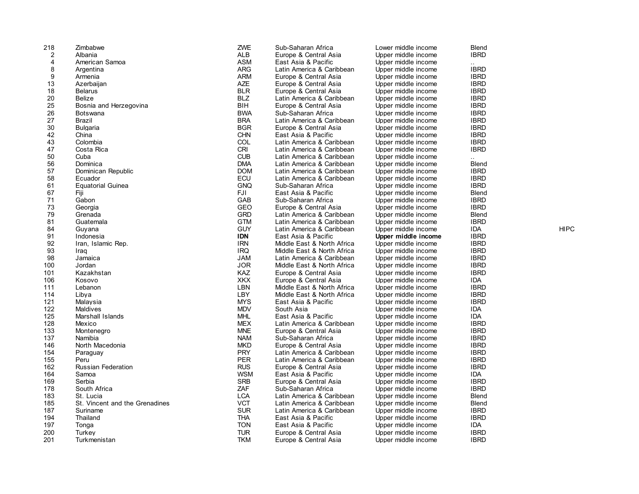| 218 | Zimbabwe                       | ZWE        | Sub-Saharan Africa         | Lower middle income | Blend        |             |
|-----|--------------------------------|------------|----------------------------|---------------------|--------------|-------------|
| 2   | Albania                        | ALB        | Europe & Central Asia      | Upper middle income | <b>IBRD</b>  |             |
| 4   | American Samoa                 | ASM        | East Asia & Pacific        | Upper middle income |              |             |
| 8   | Argentina                      | <b>ARG</b> | Latin America & Caribbean  | Upper middle income | <b>IBRD</b>  |             |
| 9   | Armenia                        | <b>ARM</b> | Europe & Central Asia      | Upper middle income | <b>IBRD</b>  |             |
| 13  | Azerbaijan                     | <b>AZE</b> | Europe & Central Asia      | Upper middle income | <b>IBRD</b>  |             |
| 18  | <b>Belarus</b>                 | <b>BLR</b> | Europe & Central Asia      | Upper middle income | <b>IBRD</b>  |             |
| 20  | Belize                         | <b>BLZ</b> | Latin America & Caribbean  | Upper middle income | <b>IBRD</b>  |             |
| 25  | Bosnia and Herzegovina         | BIH        | Europe & Central Asia      | Upper middle income | <b>IBRD</b>  |             |
| 26  | <b>Botswana</b>                | <b>BWA</b> |                            |                     | <b>IBRD</b>  |             |
|     |                                |            | Sub-Saharan Africa         | Upper middle income |              |             |
| 27  | Brazil                         | <b>BRA</b> | Latin America & Caribbean  | Upper middle income | <b>IBRD</b>  |             |
| 30  | <b>Bulgaria</b>                | <b>BGR</b> | Europe & Central Asia      | Upper middle income | <b>IBRD</b>  |             |
| 42  | China                          | <b>CHN</b> | East Asia & Pacific        | Upper middle income | <b>IBRD</b>  |             |
| 43  | Colombia                       | COL        | Latin America & Caribbean  | Upper middle income | <b>IBRD</b>  |             |
| 47  | Costa Rica                     | <b>CRI</b> | Latin America & Caribbean  | Upper middle income | <b>IBRD</b>  |             |
| 50  | Cuba                           | <b>CUB</b> | Latin America & Caribbean  | Upper middle income |              |             |
| 56  | Dominica                       | <b>DMA</b> | Latin America & Caribbean  | Upper middle income | <b>Blend</b> |             |
| 57  | Dominican Republic             | <b>DOM</b> | Latin America & Caribbean  | Upper middle income | <b>IBRD</b>  |             |
| 58  | Ecuador                        | ECU        | Latin America & Caribbean  | Upper middle income | <b>IBRD</b>  |             |
| 61  | <b>Equatorial Guinea</b>       | <b>GNQ</b> | Sub-Saharan Africa         | Upper middle income | <b>IBRD</b>  |             |
| 67  | Fiji                           | FJI        | East Asia & Pacific        | Upper middle income | Blend        |             |
| 71  | Gabon                          | GAB        | Sub-Saharan Africa         | Upper middle income | <b>IBRD</b>  |             |
| 73  | Georgia                        | GEO        | Europe & Central Asia      | Upper middle income | <b>IBRD</b>  |             |
| 79  | Grenada                        | <b>GRD</b> | Latin America & Caribbean  | Upper middle income | <b>Blend</b> |             |
| 81  | Guatemala                      | GTM        | Latin America & Caribbean  | Upper middle income | <b>IBRD</b>  |             |
| 84  | Guyana                         | <b>GUY</b> | Latin America & Caribbean  | Upper middle income | <b>IDA</b>   | <b>HIPC</b> |
| 91  | Indonesia                      | <b>IDN</b> | East Asia & Pacific        | Upper middle income | <b>IBRD</b>  |             |
| 92  | Iran, Islamic Rep.             | <b>IRN</b> | Middle East & North Africa | Upper middle income | <b>IBRD</b>  |             |
| 93  | Iraq                           | <b>IRQ</b> | Middle East & North Africa | Upper middle income | <b>IBRD</b>  |             |
| 98  |                                | JAM        | Latin America & Caribbean  | Upper middle income | <b>IBRD</b>  |             |
|     | Jamaica                        |            |                            |                     |              |             |
| 100 | Jordan                         | <b>JOR</b> | Middle East & North Africa | Upper middle income | <b>IBRD</b>  |             |
| 101 | Kazakhstan                     | KAZ        | Europe & Central Asia      | Upper middle income | <b>IBRD</b>  |             |
| 106 | Kosovo                         | <b>XKX</b> | Europe & Central Asia      | Upper middle income | <b>IDA</b>   |             |
| 111 | Lebanon                        | LBN        | Middle East & North Africa | Upper middle income | <b>IBRD</b>  |             |
| 114 | Libya                          | <b>LBY</b> | Middle East & North Africa | Upper middle income | <b>IBRD</b>  |             |
| 121 | Malaysia                       | <b>MYS</b> | East Asia & Pacific        | Upper middle income | <b>IBRD</b>  |             |
| 122 | Maldives                       | <b>MDV</b> | South Asia                 | Upper middle income | <b>IDA</b>   |             |
| 125 | Marshall Islands               | <b>MHL</b> | East Asia & Pacific        | Upper middle income | <b>IDA</b>   |             |
| 128 | Mexico                         | <b>MEX</b> | Latin America & Caribbean  | Upper middle income | <b>IBRD</b>  |             |
| 133 | Montenegro                     | <b>MNE</b> | Europe & Central Asia      | Upper middle income | <b>IBRD</b>  |             |
| 137 | Namibia                        | <b>NAM</b> | Sub-Saharan Africa         | Upper middle income | <b>IBRD</b>  |             |
| 146 | North Macedonia                | <b>MKD</b> | Europe & Central Asia      | Upper middle income | <b>IBRD</b>  |             |
| 154 | Paraguay                       | <b>PRY</b> | Latin America & Caribbean  | Upper middle income | <b>IBRD</b>  |             |
| 155 | Peru                           | <b>PER</b> | Latin America & Caribbean  | Upper middle income | <b>IBRD</b>  |             |
| 162 | <b>Russian Federation</b>      | <b>RUS</b> | Europe & Central Asia      | Upper middle income | <b>IBRD</b>  |             |
| 164 | Samoa                          | <b>WSM</b> | East Asia & Pacific        | Upper middle income | IDA.         |             |
| 169 | Serbia                         | <b>SRB</b> | Europe & Central Asia      | Upper middle income | <b>IBRD</b>  |             |
| 178 | South Africa                   | ZAF        | Sub-Saharan Africa         | Upper middle income | <b>IBRD</b>  |             |
| 183 | St. Lucia                      | <b>LCA</b> | Latin America & Caribbean  | Upper middle income | Blend        |             |
| 185 | St. Vincent and the Grenadines | <b>VCT</b> | Latin America & Caribbean  | Upper middle income | Blend        |             |
| 187 | Suriname                       | <b>SUR</b> | Latin America & Caribbean  | Upper middle income | <b>IBRD</b>  |             |
| 194 | Thailand                       | <b>THA</b> | East Asia & Pacific        | Upper middle income | <b>IBRD</b>  |             |
| 197 | Tonga                          | <b>TON</b> | East Asia & Pacific        | Upper middle income | IDA          |             |
| 200 | Turkey                         | <b>TUR</b> | Europe & Central Asia      | Upper middle income | <b>IBRD</b>  |             |
| 201 | Turkmenistan                   | <b>TKM</b> | Europe & Central Asia      | Upper middle income | <b>IBRD</b>  |             |
|     |                                |            |                            |                     |              |             |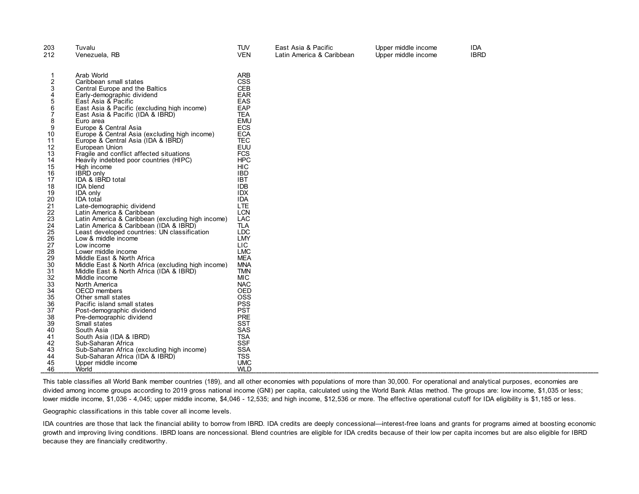| 203                                                                                                                                                | Tuvalu                                                                                                                                                                                                                                                                                                                                                                                                                                                                                                                                                                                                                                                                                                                                                                                                                               | <b>TUV</b>                                                                                                                                                                                                                                                                                                                                                         | East Asia & Pacific       | Upper middle income | <b>IDA</b>  |
|----------------------------------------------------------------------------------------------------------------------------------------------------|--------------------------------------------------------------------------------------------------------------------------------------------------------------------------------------------------------------------------------------------------------------------------------------------------------------------------------------------------------------------------------------------------------------------------------------------------------------------------------------------------------------------------------------------------------------------------------------------------------------------------------------------------------------------------------------------------------------------------------------------------------------------------------------------------------------------------------------|--------------------------------------------------------------------------------------------------------------------------------------------------------------------------------------------------------------------------------------------------------------------------------------------------------------------------------------------------------------------|---------------------------|---------------------|-------------|
|                                                                                                                                                    |                                                                                                                                                                                                                                                                                                                                                                                                                                                                                                                                                                                                                                                                                                                                                                                                                                      |                                                                                                                                                                                                                                                                                                                                                                    |                           |                     |             |
| 212<br>2<br>3<br>4<br>5<br>6<br>8<br>9<br>10<br>11<br>12<br>13<br>14<br>15<br>16<br>17<br>18<br>19<br>20<br>21<br>22<br>23<br>24<br>25<br>26<br>27 | Venezuela, RB<br>Arab World<br>Caribbean small states<br>Central Europe and the Baltics<br>Early-demographic dividend<br>East Asia & Pacific<br>East Asia & Pacific (excluding high income)<br>East Asia & Pacific (IDA & IBRD)<br>Euro area<br>Europe & Central Asia<br>Europe & Central Asia (excluding high income)<br>Europe & Central Asia (IDA & IBRD)<br>European Union<br>Fragile and conflict affected situations<br>Heavily indebted poor countries (HIPC)<br>High income<br><b>IBRD</b> only<br>IDA & IBRD total<br><b>IDA</b> blend<br><b>IDA only</b><br><b>IDA</b> total<br>Late-demographic dividend<br>Latin America & Caribbean<br>Latin America & Caribbean (excluding high income)<br>Latin America & Caribbean (IDA & IBRD)<br>Least developed countries: UN classification<br>Low & middle income<br>Low income | <b>VEN</b><br><b>ARB</b><br><b>CSS</b><br><b>CEB</b><br><b>EAR</b><br>EAS<br>EAP<br><b>TEA</b><br><b>EMU</b><br><b>ECS</b><br><b>ECA</b><br><b>TEC</b><br><b>EUU</b><br><b>FCS</b><br><b>HPC</b><br><b>HIC</b><br><b>IBD</b><br><b>IBT</b><br><b>IDB</b><br><b>IDX</b><br><b>IDA</b><br><b>LTE</b><br><b>LCN</b><br>LAC<br><b>TLA</b><br><b>LDC</b><br>LMY<br>LIC. | Latin America & Caribbean | Upper middle income | <b>IBRD</b> |
| 28<br>29<br>30<br>31<br>32                                                                                                                         | Lower middle income<br>Middle East & North Africa<br>Middle East & North Africa (excluding high income)<br>Middle East & North Africa (IDA & IBRD)<br>Middle income                                                                                                                                                                                                                                                                                                                                                                                                                                                                                                                                                                                                                                                                  | <b>LMC</b><br><b>MEA</b><br><b>MNA</b><br><b>TMN</b><br><b>MIC</b>                                                                                                                                                                                                                                                                                                 |                           |                     |             |
| 33<br>34                                                                                                                                           | North America<br>OECD members                                                                                                                                                                                                                                                                                                                                                                                                                                                                                                                                                                                                                                                                                                                                                                                                        | <b>NAC</b><br><b>OED</b>                                                                                                                                                                                                                                                                                                                                           |                           |                     |             |
| 35<br>36                                                                                                                                           | Other small states<br>Pacific island small states                                                                                                                                                                                                                                                                                                                                                                                                                                                                                                                                                                                                                                                                                                                                                                                    | <b>OSS</b><br><b>PSS</b>                                                                                                                                                                                                                                                                                                                                           |                           |                     |             |
| 37                                                                                                                                                 | Post-demographic dividend                                                                                                                                                                                                                                                                                                                                                                                                                                                                                                                                                                                                                                                                                                                                                                                                            | <b>PST</b>                                                                                                                                                                                                                                                                                                                                                         |                           |                     |             |
| 38<br>39                                                                                                                                           | Pre-demographic dividend<br>Small states                                                                                                                                                                                                                                                                                                                                                                                                                                                                                                                                                                                                                                                                                                                                                                                             | <b>PRE</b><br><b>SST</b>                                                                                                                                                                                                                                                                                                                                           |                           |                     |             |
| 40                                                                                                                                                 | South Asia                                                                                                                                                                                                                                                                                                                                                                                                                                                                                                                                                                                                                                                                                                                                                                                                                           | SAS                                                                                                                                                                                                                                                                                                                                                                |                           |                     |             |
| 41                                                                                                                                                 | South Asia (IDA & IBRD)                                                                                                                                                                                                                                                                                                                                                                                                                                                                                                                                                                                                                                                                                                                                                                                                              | <b>TSA</b>                                                                                                                                                                                                                                                                                                                                                         |                           |                     |             |
| 42                                                                                                                                                 | Sub-Saharan Africa                                                                                                                                                                                                                                                                                                                                                                                                                                                                                                                                                                                                                                                                                                                                                                                                                   | <b>SSF</b>                                                                                                                                                                                                                                                                                                                                                         |                           |                     |             |
| 43                                                                                                                                                 | Sub-Saharan Africa (excluding high income)                                                                                                                                                                                                                                                                                                                                                                                                                                                                                                                                                                                                                                                                                                                                                                                           | <b>SSA</b>                                                                                                                                                                                                                                                                                                                                                         |                           |                     |             |
| 44                                                                                                                                                 | Sub-Saharan Africa (IDA & IBRD)                                                                                                                                                                                                                                                                                                                                                                                                                                                                                                                                                                                                                                                                                                                                                                                                      | <b>TSS</b>                                                                                                                                                                                                                                                                                                                                                         |                           |                     |             |
| 45                                                                                                                                                 | Upper middle income                                                                                                                                                                                                                                                                                                                                                                                                                                                                                                                                                                                                                                                                                                                                                                                                                  | <b>UMC</b>                                                                                                                                                                                                                                                                                                                                                         |                           |                     |             |
| 46                                                                                                                                                 | World                                                                                                                                                                                                                                                                                                                                                                                                                                                                                                                                                                                                                                                                                                                                                                                                                                | <b>WLD</b>                                                                                                                                                                                                                                                                                                                                                         |                           |                     |             |

This table classifies all World Bank member countries (189), and all other economies with populations of more than 30,000. For operational and analytical purposes, economies are divided among income groups according to 2019 gross national income (GNI) per capita, calculated using the World Bank Atlas method. The groups are: low income, \$1,035 or less; lower middle income, \$1,036 - 4,045; upper middle income, \$4,046 - 12,535; and high income, \$12,536 or more. The effective operational cutoff for IDA eligibility is \$1,185 or less.

Geographic classifications in this table cover all income levels.

IDA countries are those that lack the financial ability to borrow from IBRD. IDA credits are deeply concessional—interest-free loans and grants for programs aimed at boosting economic growth and improving living conditions. IBRD loans are noncessional. Blend countries are eligible for IDA credits because of their low per capita incomes but are also eligible for IBRD because they are financially creditworthy.